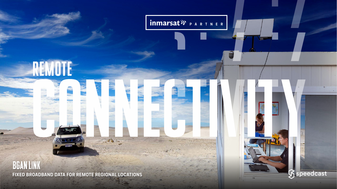

## **BGAN LINK** FIXED BROADBAND DATA FOR REMOTE REGIONAL LOCATIONS